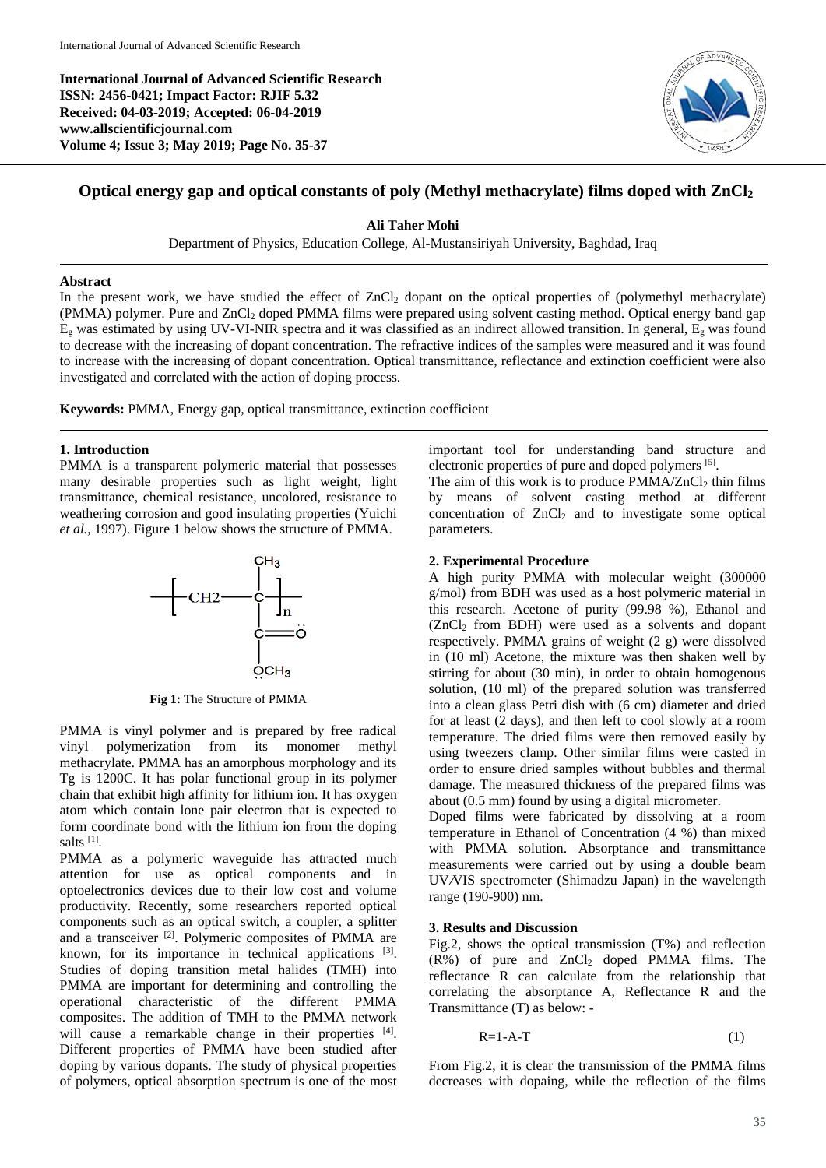**International Journal of Advanced Scientific Research ISSN: 2456-0421; Impact Factor: RJIF 5.32 Received: 04-03-2019; Accepted: 06-04-2019 www.allscientificjournal.com Volume 4; Issue 3; May 2019; Page No. 35-37**



# **Optical energy gap and optical constants of poly (Methyl methacrylate) films doped with ZnCl<sup>2</sup>**

**Ali Taher Mohi**

Department of Physics, Education College, Al-Mustansiriyah University, Baghdad, Iraq

### **Abstract**

In the present work, we have studied the effect of  $ZnCl<sub>2</sub>$  dopant on the optical properties of (polymethyl methacrylate) (PMMA) polymer. Pure and ZnCl<sub>2</sub> doped PMMA films were prepared using solvent casting method. Optical energy band gap  $E_g$  was estimated by using UV-VI-NIR spectra and it was classified as an indirect allowed transition. In general,  $E_g$  was found to decrease with the increasing of dopant concentration. The refractive indices of the samples were measured and it was found to increase with the increasing of dopant concentration. Optical transmittance, reflectance and extinction coefficient were also investigated and correlated with the action of doping process.

**Keywords:** PMMA, Energy gap, optical transmittance, extinction coefficient

## **1. Introduction**

PMMA is a transparent polymeric material that possesses many desirable properties such as light weight, light transmittance, chemical resistance, uncolored, resistance to weathering corrosion and good insulating properties (Yuichi *et al.,* 1997). Figure 1 below shows the structure of PMMA.



**Fig 1:** The Structure of PMMA

PMMA is vinyl polymer and is prepared by free radical vinyl polymerization from its monomer methyl methacrylate. PMMA has an amorphous morphology and its Tg is 1200C. It has polar functional group in its polymer chain that exhibit high affinity for lithium ion. It has oxygen atom which contain lone pair electron that is expected to form coordinate bond with the lithium ion from the doping salts<sup>[1]</sup>.

PMMA as a polymeric waveguide has attracted much attention for use as optical components and in optoelectronics devices due to their low cost and volume productivity. Recently, some researchers reported optical components such as an optical switch, a coupler, a splitter and a transceiver <sup>[2]</sup>. Polymeric composites of PMMA are known, for its importance in technical applications [3]. Studies of doping transition metal halides (TMH) into PMMA are important for determining and controlling the operational characteristic of the different PMMA composites. The addition of TMH to the PMMA network will cause a remarkable change in their properties [4]. Different properties of PMMA have been studied after doping by various dopants. The study of physical properties of polymers, optical absorption spectrum is one of the most important tool for understanding band structure and electronic properties of pure and doped polymers [5].

The aim of this work is to produce  $PMMA/ZnCl<sub>2</sub>$  thin films by means of solvent casting method at different concentration of  $ZnCl<sub>2</sub>$  and to investigate some optical parameters.

## **2. Experimental Procedure**

A high purity PMMA with molecular weight (300000 g/mol) from BDH was used as a host polymeric material in this research. Acetone of purity (99.98 %), Ethanol and  $(ZnCl<sub>2</sub>$  from BDH) were used as a solvents and dopant respectively. PMMA grains of weight (2 g) were dissolved in (10 ml) Acetone, the mixture was then shaken well by stirring for about (30 min), in order to obtain homogenous solution, (10 ml) of the prepared solution was transferred into a clean glass Petri dish with (6 cm) diameter and dried for at least (2 days), and then left to cool slowly at a room temperature. The dried films were then removed easily by using tweezers clamp. Other similar films were casted in order to ensure dried samples without bubbles and thermal damage. The measured thickness of the prepared films was about (0.5 mm) found by using a digital micrometer.

Doped films were fabricated by dissolving at a room temperature in Ethanol of Concentration (4 %) than mixed with PMMA solution. Absorptance and transmittance measurements were carried out by using a double beam UV**/**VIS spectrometer (Shimadzu Japan) in the wavelength range (190-900) nm.

## **3. Results and Discussion**

Fig.2, shows the optical transmission (T%) and reflection  $(R\%)$  of pure and  $ZnCl<sub>2</sub>$  doped PMMA films. The reflectance R can calculate from the relationship that correlating the absorptance A, Reflectance R and the Transmittance (T) as below: -

$$
R=1-A-T
$$
 (1)

From Fig.2, it is clear the transmission of the PMMA films decreases with dopaing, while the reflection of the films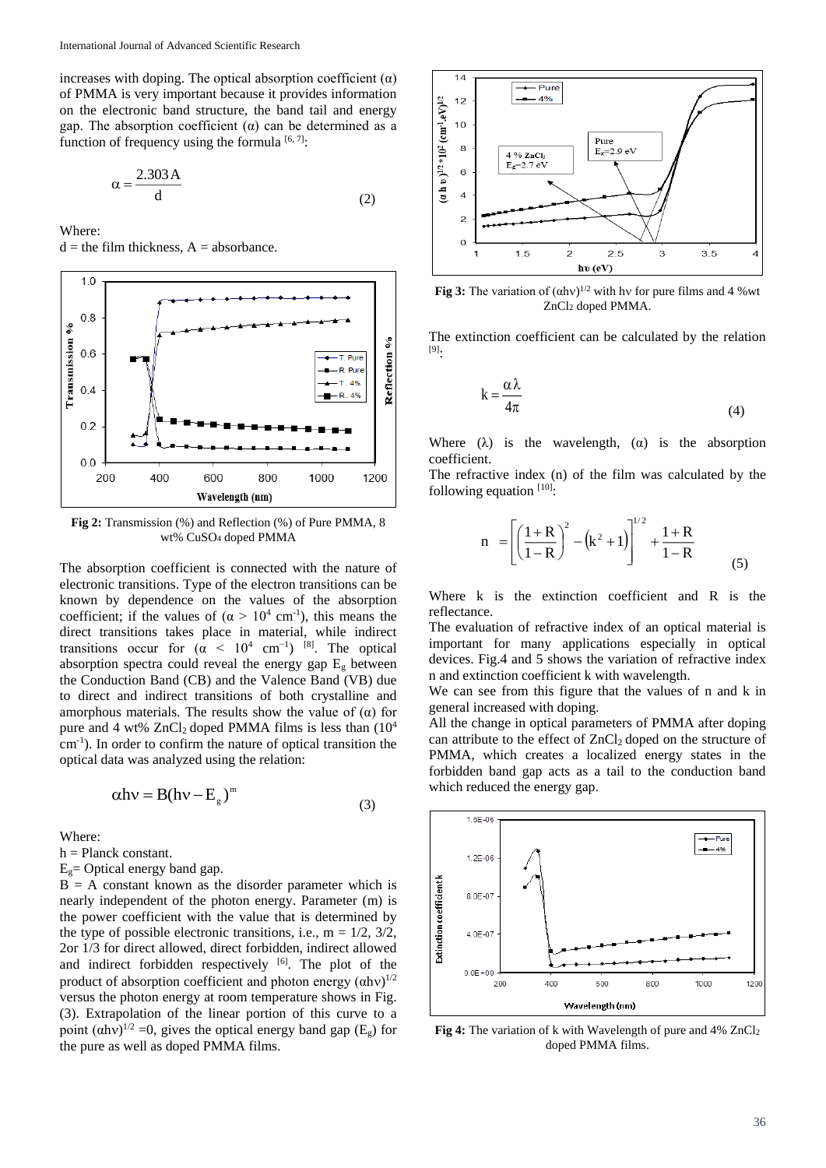increases with doping. The optical absorption coefficient  $(\alpha)$ of PMMA is very important because it provides information on the electronic band structure, the band tail and energy gap. The absorption coefficient  $(\alpha)$  can be determined as a function of frequency using the formula  $[6, 7]$ :

$$
\alpha = \frac{2.303 \,\mathrm{A}}{\mathrm{d}}\tag{2}
$$

Where:

 $d =$  the film thickness,  $A =$  absorbance.



**Fig 2:** Transmission (%) and Reflection (%) of Pure PMMA, 8 wt% CuSO<sup>4</sup> doped PMMA

The absorption coefficient is connected with the nature of electronic transitions. Type of the electron transitions can be known by dependence on the values of the absorption coefficient; if the values of  $(\alpha > 10^4 \text{ cm}^{-1})$ , this means the direct transitions takes place in material, while indirect transitions occur for  $(\alpha < 10^4 \text{ cm}^{-1})$  [8]. The optical absorption spectra could reveal the energy gap  $E<sub>g</sub>$  between the Conduction Band (CB) and the Valence Band (VB) due to direct and indirect transitions of both crystalline and amorphous materials. The results show the value of  $(\alpha)$  for pure and 4 wt%  $ZnCl<sub>2</sub>$  doped PMMA films is less than  $(10<sup>4</sup>$ cm-1 ). In order to confirm the nature of optical transition the optical data was analyzed using the relation:

$$
\alpha h v = B(hv - E_g)^m \tag{3}
$$

Where:

 $h =$ Planck constant.

 $E<sub>g</sub>$  = Optical energy band gap.

 $B = A$  constant known as the disorder parameter which is nearly independent of the photon energy. Parameter (m) is the power coefficient with the value that is determined by the type of possible electronic transitions, i.e.,  $m = 1/2$ ,  $3/2$ , 2or 1/3 for direct allowed, direct forbidden, indirect allowed and indirect forbidden respectively [6]. The plot of the product of absorption coefficient and photon energy  $(\alpha h v)^{1/2}$ versus the photon energy at room temperature shows in Fig. (3). Extrapolation of the linear portion of this curve to a point  $(\alpha h v)^{1/2} = 0$ , gives the optical energy band gap (E<sub>g</sub>) for the pure as well as doped PMMA films.



**Fig 3:** The variation of  $(ahv)^{1/2}$  with hv for pure films and 4 % wt ZnCl<sup>2</sup> doped PMMA.

The extinction coefficient can be calculated by the relation [9] :

$$
k = \frac{\alpha \lambda}{4\pi} \tag{4}
$$

Where  $(\lambda)$  is the wavelength,  $(\alpha)$  is the absorption coefficient.

The refractive index (n) of the film was calculated by the following equation [10]:

$$
n = \left[ \left( \frac{1+R}{1-R} \right)^2 - \left( k^2 + 1 \right) \right]^{1/2} + \frac{1+R}{1-R}
$$
 (5)

Where k is the extinction coefficient and R is the reflectance.

The evaluation of refractive index of an optical material is important for many applications especially in optical devices. Fig.4 and 5 shows the variation of refractive index n and extinction coefficient k with wavelength.

We can see from this figure that the values of n and k in general increased with doping.

All the change in optical parameters of PMMA after doping can attribute to the effect of ZnCl<sub>2</sub> doped on the structure of PMMA, which creates a localized energy states in the forbidden band gap acts as a tail to the conduction band which reduced the energy gap.



**Fig 4:** The variation of k with Wavelength of pure and 4% ZnCl<sub>2</sub> doped PMMA films.